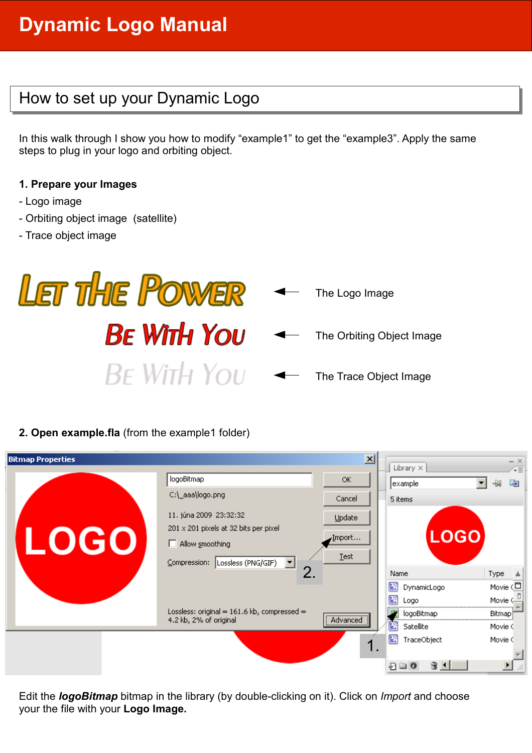# **Dynamic Logo Manual**

#### How to set up your Dynamic Logo

In this walk through I show you how to modify "example1" to get the "example3". Apply the same steps to plug in your logo and orbiting object.

#### **1. Prepare your Images**

- Logo image
- Orbiting object image (satellite)
- Trace object image



#### **2. Open example.fla** (from the example1 folder)

| 즤<br><b>Bitmap Properties</b> |                                                                                                                              |                          |                                        |                                   | $- \times$                                         |  |
|-------------------------------|------------------------------------------------------------------------------------------------------------------------------|--------------------------|----------------------------------------|-----------------------------------|----------------------------------------------------|--|
|                               | logoBitmap<br>C:\_aaa\logo.png                                                                                               | <b>OK</b><br>Cancel      | Library $\times$<br>example<br>5 items |                                   | ΨĒ<br>中<br>₩                                       |  |
| LOGO                          | 11. júna 2009 23:32:32<br>201 x 201 pixels at 32 bits per pixel<br>$\Box$ Allow smoothing<br>Compression: Lossless (PNG/GIF) | Update<br>Import<br>Test |                                        | <b>LOGO</b>                       |                                                    |  |
|                               | 2.<br>Lossless: original = $161.6$ kb, compressed =<br>4.2 kb, 2% of original                                                | Advanced<br>             | Name<br>冏<br>囨                         | DynamicLogo<br>Logo<br>logoBitmap | Type<br>上<br>Movie $(\Box)$<br>Movie (-<br>Bitmap) |  |
|                               |                                                                                                                              | Ι.                       | 罔<br>圏<br>四口〇                          | Satellite<br>TraceObject<br>31    | Movie C<br>Movie C                                 |  |

Edit the *logoBitmap* bitmap in the library (by double-clicking on it). Click on *Import* and choose your the file with your **Logo Image.**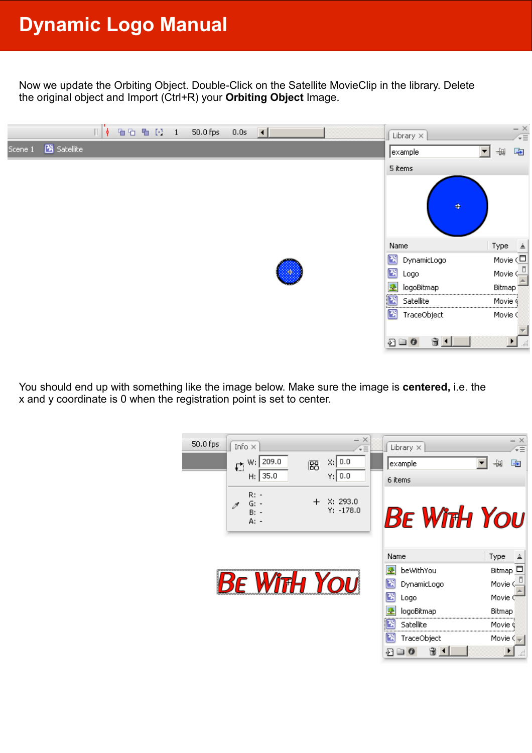Now we update the Orbiting Object. Double-Click on the Satellite MovieClip in the library. Delete the original object and Import (Ctrl+R) your **Orbiting Object** Image.



You should end up with something like the image below. Make sure the image is **centered,** i.e. the x and y coordinate is 0 when the registration point is set to center.

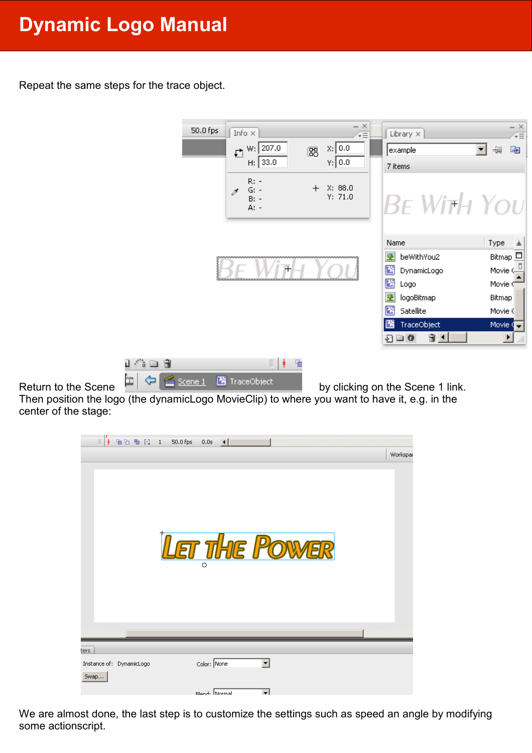## **Dynamic Logo Manual**

Repeat the same steps for the trace object.



Then position the logo (the dynamicLogo MovieClip) to where you want to have it, e.g. in the center of the stage:



We are almost done, the last step is to customize the settings such as speed an angle by modifying some actionscript.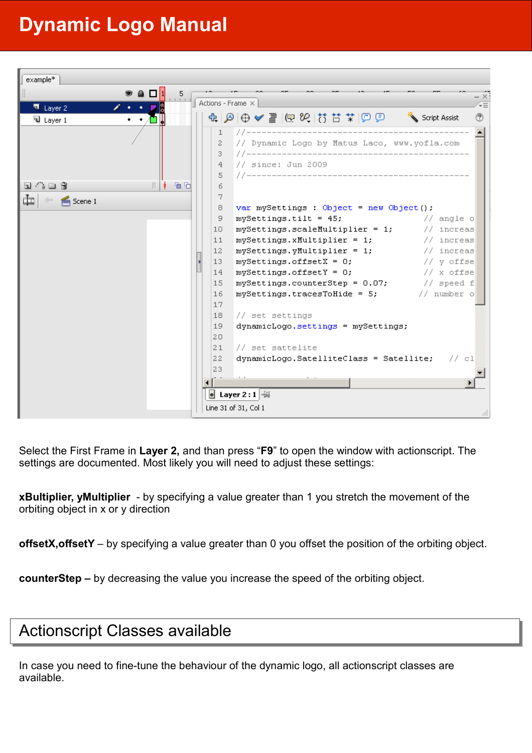### **Dynamic Logo Manual**



Select the First Frame in **Layer 2,** and than press "**F9**" to open the window with actionscript. The settings are documented. Most likely you will need to adjust these settings:

**xBultiplier, yMultiplier** - by specifying a value greater than 1 you stretch the movement of the orbiting object in x or y direction

**offsetX,offsetY** – by specifying a value greater than 0 you offset the position of the orbiting object.

**counterStep –** by decreasing the value you increase the speed of the orbiting object.

#### Actionscript Classes available

In case you need to fine-tune the behaviour of the dynamic logo, all actionscript classes are available.